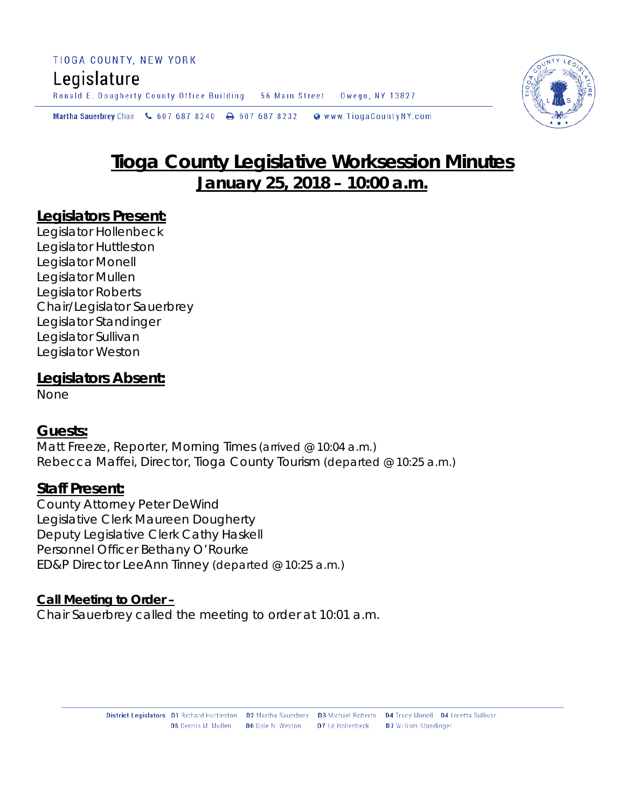Ronald E. Dougherty County Office Building 56 Main Street Owego, NY 13827

Martha Sauerbrey Chair & 607 687 8240  $\rightarrow$  607 687 8232 Www.TiogaCountyNY.com

# **Tioga County Legislative Worksession Minutes January 25, 2018 – 10:00 a.m.**

## **Legislators Present:**

Legislator Hollenbeck Legislator Huttleston Legislator Monell Legislator Mullen Legislator Roberts Chair/Legislator Sauerbrey Legislator Standinger Legislator Sullivan Legislator Weston

## **Legislators Absent:**

None

# **Guests:**

Matt Freeze, Reporter, Morning Times *(arrived @ 10:04 a.m.)* Rebecca Maffei, Director, Tioga County Tourism *(departed @ 10:25 a.m.)*

## **Staff Present:**

County Attorney Peter DeWind Legislative Clerk Maureen Dougherty Deputy Legislative Clerk Cathy Haskell Personnel Officer Bethany O'Rourke ED&P Director LeeAnn Tinney *(departed @ 10:25 a.m.)*

#### **Call Meeting to Order –**

Chair Sauerbrey called the meeting to order at 10:01 a.m.

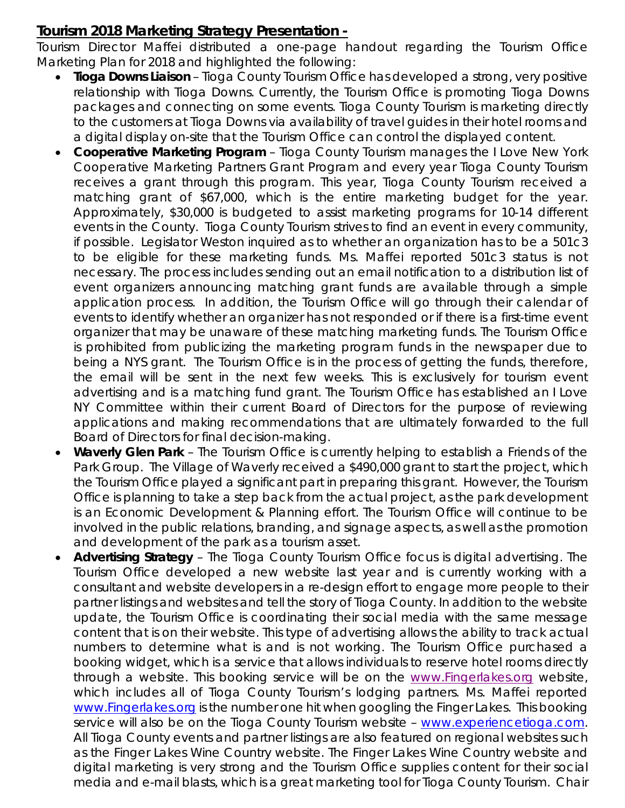# **Tourism 2018 Marketing Strategy Presentation -**

Tourism Director Maffei distributed a one-page handout regarding the Tourism Office Marketing Plan for 2018 and highlighted the following:

- *Tioga Downs Liaison* Tioga County Tourism Office has developed a strong, very positive relationship with Tioga Downs. Currently, the Tourism Office is promoting Tioga Downs packages and connecting on some events. Tioga County Tourism is marketing directly to the customers at Tioga Downs via availability of travel guides in their hotel rooms and a digital display on-site that the Tourism Office can control the displayed content.
- *Cooperative Marketing Program* Tioga County Tourism manages the I Love New York Cooperative Marketing Partners Grant Program and every year Tioga County Tourism receives a grant through this program. This year, Tioga County Tourism received a matching grant of \$67,000, which is the entire marketing budget for the year. Approximately, \$30,000 is budgeted to assist marketing programs for 10-14 different events in the County. Tioga County Tourism strives to find an event in every community, if possible. Legislator Weston inquired as to whether an organization has to be a 501c3 to be eligible for these marketing funds. Ms. Maffei reported 501c3 status is not necessary. The process includes sending out an email notification to a distribution list of event organizers announcing matching grant funds are available through a simple application process. In addition, the Tourism Office will go through their calendar of events to identify whether an organizer has not responded or if there is a first-time event organizer that may be unaware of these matching marketing funds. The Tourism Office is prohibited from publicizing the marketing program funds in the newspaper due to being a NYS grant. The Tourism Office is in the process of getting the funds, therefore, the email will be sent in the next few weeks. This is exclusively for tourism event advertising and is a matching fund grant. The Tourism Office has established an I Love NY Committee within their current Board of Directors for the purpose of reviewing applications and making recommendations that are ultimately forwarded to the full Board of Directors for final decision-making.
- *Waverly Glen Park*  The Tourism Office is currently helping to establish a Friends of the Park Group. The Village of Waverly received a \$490,000 grant to start the project, which the Tourism Office played a significant part in preparing this grant. However, the Tourism Office is planning to take a step back from the actual project, as the park development is an Economic Development & Planning effort. The Tourism Office will continue to be involved in the public relations, branding, and signage aspects, as well as the promotion and development of the park as a tourism asset.
- *Advertising Strategy* The Tioga County Tourism Office focus is digital advertising. The Tourism Office developed a new website last year and is currently working with a consultant and website developers in a re-design effort to engage more people to their partner listings and websites and tell the story of Tioga County. In addition to the website update, the Tourism Office is coordinating their social media with the same message content that is on their website. This type of advertising allows the ability to track actual numbers to determine what is and is not working. The Tourism Office purchased a booking widget, which is a service that allows individuals to reserve hotel rooms directly through a website. This booking service will be on the [www.Fingerlakes.org](http://www.fingerlakes.org/) website, which includes all of Tioga County Tourism's lodging partners. Ms. Maffei reported [www.Fingerlakes.org](http://www.fingerlakes.org/) is the number one hit when googling the Finger Lakes. This booking service will also be on the Tioga County Tourism website - [www.experiencetioga.com.](http://www.experiencetioga.com/) All Tioga County events and partner listings are also featured on regional websites such as the Finger Lakes Wine Country website. The Finger Lakes Wine Country website and digital marketing is very strong and the Tourism Office supplies content for their social media and e-mail blasts, which is a great marketing tool for Tioga County Tourism. Chair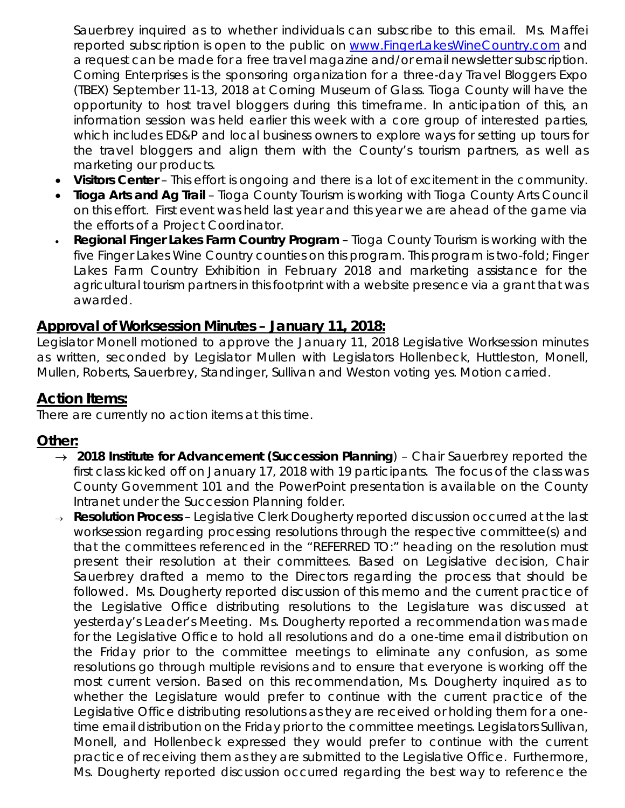Sauerbrey inquired as to whether individuals can subscribe to this email. Ms. Maffei reported subscription is open to the public on [www.FingerLakesWineCountry.com](http://www.fingerlakeswinecountry.com/) and a request can be made for a free travel magazine and/or email newsletter subscription. Corning Enterprises is the sponsoring organization for a three-day Travel Bloggers Expo (TBEX) September 11-13, 2018 at Corning Museum of Glass. Tioga County will have the opportunity to host travel bloggers during this timeframe. In anticipation of this, an information session was held earlier this week with a core group of interested parties, which includes ED&P and local business owners to explore ways for setting up tours for the travel bloggers and align them with the County's tourism partners, as well as marketing our products.

- *Visitors Center* This effort is ongoing and there is a lot of excitement in the community.
- *Tioga Arts and Ag Trail*  Tioga County Tourism is working with Tioga County Arts Council on this effort. First event was held last year and this year we are ahead of the game via the efforts of a Project Coordinator.
- *Regional Finger Lakes Farm Country Program*  Tioga County Tourism is working with the five Finger Lakes Wine Country counties on this program. This program is two-fold; Finger Lakes Farm Country Exhibition in February 2018 and marketing assistance for the agricultural tourism partners in this footprint with a website presence via a grant that was awarded.

# **Approval of Worksession Minutes – January 11, 2018:**

Legislator Monell motioned to approve the January 11, 2018 Legislative Worksession minutes as written, seconded by Legislator Mullen with Legislators Hollenbeck, Huttleston, Monell, Mullen, Roberts, Sauerbrey, Standinger, Sullivan and Weston voting yes. Motion carried.

# **Action Items:**

There are currently no action items at this time.

## **Other:**

- → *2018 Institute for Advancement (Succession Planning*) Chair Sauerbrey reported the first class kicked off on January 17, 2018 with 19 participants. The focus of the class was County Government 101 and the PowerPoint presentation is available on the County Intranet under the Succession Planning folder.
- <sup>→</sup> *Resolution Process* Legislative Clerk Dougherty reported discussion occurred at the last worksession regarding processing resolutions through the respective committee(s) and that the committees referenced in the "REFERRED TO:" heading on the resolution must present their resolution at their committees. Based on Legislative decision, Chair Sauerbrey drafted a memo to the Directors regarding the process that should be followed. Ms. Dougherty reported discussion of this memo and the current practice of the Legislative Office distributing resolutions to the Legislature was discussed at yesterday's Leader's Meeting. Ms. Dougherty reported a recommendation was made for the Legislative Office to hold all resolutions and do a one-time email distribution on the Friday prior to the committee meetings to eliminate any confusion, as some resolutions go through multiple revisions and to ensure that everyone is working off the most current version. Based on this recommendation, Ms. Dougherty inquired as to whether the Legislature would prefer to continue with the current practice of the Legislative Office distributing resolutions as they are received or holding them for a onetime email distribution on the Friday prior to the committee meetings. Legislators Sullivan, Monell, and Hollenbeck expressed they would prefer to continue with the current practice of receiving them as they are submitted to the Legislative Office. Furthermore, Ms. Dougherty reported discussion occurred regarding the best way to reference the